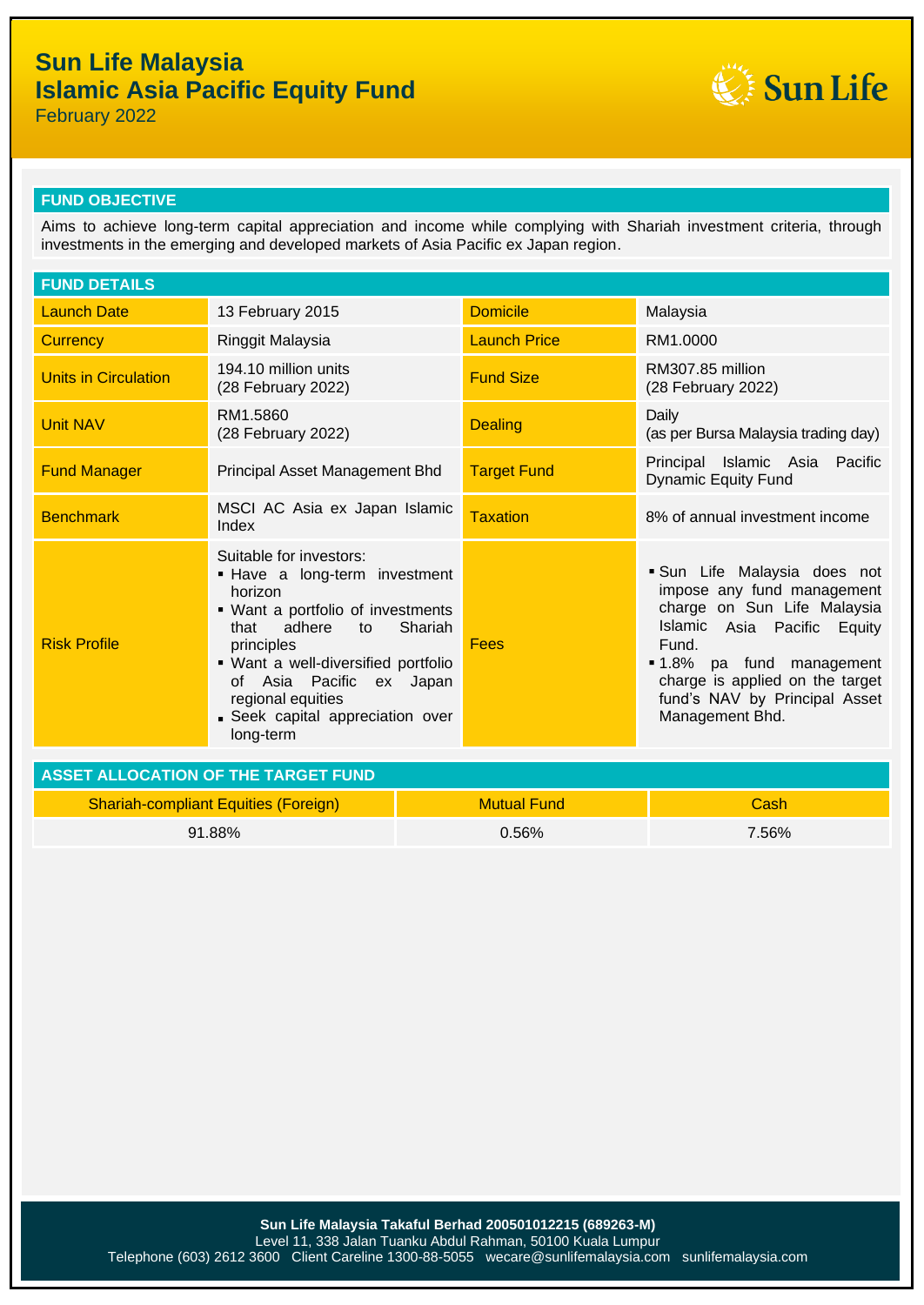

February 2022

#### **FUND OBJECTIVE**

Aims to achieve long-term capital appreciation and income while complying with Shariah investment criteria, through investments in the emerging and developed markets of Asia Pacific ex Japan region.

| <b>FUND DETAILS</b>                         |                                                                                                                                                                                                                                                                                                     |                    |                     |                                                                                                                                                                                                                                                     |  |
|---------------------------------------------|-----------------------------------------------------------------------------------------------------------------------------------------------------------------------------------------------------------------------------------------------------------------------------------------------------|--------------------|---------------------|-----------------------------------------------------------------------------------------------------------------------------------------------------------------------------------------------------------------------------------------------------|--|
| <b>Launch Date</b>                          | 13 February 2015                                                                                                                                                                                                                                                                                    |                    | <b>Domicile</b>     | Malaysia                                                                                                                                                                                                                                            |  |
| <b>Currency</b>                             | Ringgit Malaysia                                                                                                                                                                                                                                                                                    |                    | <b>Launch Price</b> | RM1.0000                                                                                                                                                                                                                                            |  |
| <b>Units in Circulation</b>                 | 194.10 million units<br>(28 February 2022)                                                                                                                                                                                                                                                          |                    | <b>Fund Size</b>    | RM307.85 million<br>(28 February 2022)                                                                                                                                                                                                              |  |
| <b>Unit NAV</b>                             | RM1.5860<br>(28 February 2022)                                                                                                                                                                                                                                                                      |                    | <b>Dealing</b>      | Daily<br>(as per Bursa Malaysia trading day)                                                                                                                                                                                                        |  |
| <b>Fund Manager</b>                         | Principal Asset Management Bhd                                                                                                                                                                                                                                                                      |                    | <b>Target Fund</b>  | Principal Islamic Asia Pacific<br><b>Dynamic Equity Fund</b>                                                                                                                                                                                        |  |
| <b>Benchmark</b>                            | MSCI AC Asia ex Japan Islamic<br>Index                                                                                                                                                                                                                                                              |                    | <b>Taxation</b>     | 8% of annual investment income                                                                                                                                                                                                                      |  |
| <b>Risk Profile</b>                         | Suitable for investors:<br>- Have a long-term investment<br>horizon<br>• Want a portfolio of investments<br>adhere<br>Shariah<br>that<br>to<br>principles<br>• Want a well-diversified portfolio<br>of Asia Pacific<br>ex Japan<br>regional equities<br>Seek capital appreciation over<br>long-term |                    | Fees                | · Sun Life Malaysia does not<br>impose any fund management<br>charge on Sun Life Malaysia<br>Islamic Asia Pacific Equity<br>Fund.<br>1.8% pa fund management<br>charge is applied on the target<br>fund's NAV by Principal Asset<br>Management Bhd. |  |
| <b>ASSET ALLOCATION OF THE TARGET FUND</b>  |                                                                                                                                                                                                                                                                                                     |                    |                     |                                                                                                                                                                                                                                                     |  |
| <b>Shariah-compliant Equities (Foreign)</b> |                                                                                                                                                                                                                                                                                                     | <b>Mutual Fund</b> |                     | Cash                                                                                                                                                                                                                                                |  |
| 91.88%                                      |                                                                                                                                                                                                                                                                                                     | 0.56%              |                     | 7.56%                                                                                                                                                                                                                                               |  |
|                                             |                                                                                                                                                                                                                                                                                                     |                    |                     |                                                                                                                                                                                                                                                     |  |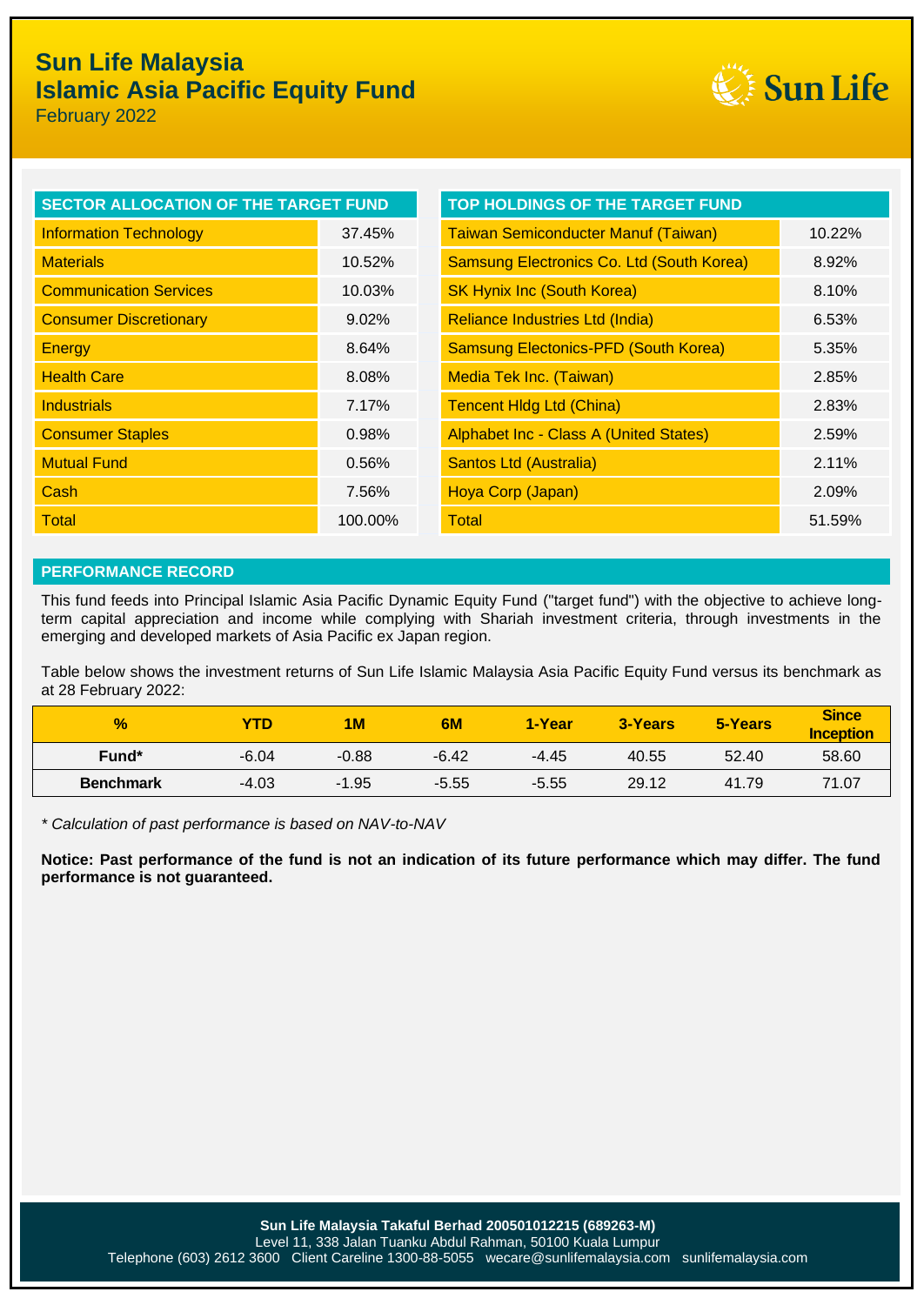

February 2022

| <b>SECTOR ALLOCATION OF THE TARGET FUND</b> |          | <b>TOP HOLDINGS OF THE TARGET FUND</b>        |        |  |
|---------------------------------------------|----------|-----------------------------------------------|--------|--|
| <b>Information Technology</b>               | 37.45%   | <b>Taiwan Semiconducter Manuf (Taiwan)</b>    | 10.22% |  |
| <b>Materials</b>                            | 10.52%   | Samsung Electronics Co. Ltd (South Korea)     | 8.92%  |  |
| <b>Communication Services</b>               | 10.03%   | <b>SK Hynix Inc (South Korea)</b>             | 8.10%  |  |
| <b>Consumer Discretionary</b>               | $9.02\%$ | Reliance Industries Ltd (India)               | 6.53%  |  |
| <b>Energy</b>                               | 8.64%    | <b>Samsung Electonics-PFD (South Korea)</b>   | 5.35%  |  |
| <b>Health Care</b>                          | 8.08%    | Media Tek Inc. (Taiwan)                       | 2.85%  |  |
| <b>Industrials</b>                          | 7.17%    | <b>Tencent Hidg Ltd (China)</b>               | 2.83%  |  |
| <b>Consumer Staples</b>                     | 0.98%    | <b>Alphabet Inc - Class A (United States)</b> | 2.59%  |  |
| <b>Mutual Fund</b>                          | 0.56%    | <b>Santos Ltd (Australia)</b>                 | 2.11%  |  |
| Cash                                        | 7.56%    | Hoya Corp (Japan)                             | 2.09%  |  |
| <b>Total</b>                                | 100.00%  | Total                                         | 51.59% |  |

#### **PERFORMANCE RECORD**

This fund feeds into Principal Islamic Asia Pacific Dynamic Equity Fund ("target fund") with the objective to achieve longterm capital appreciation and income while complying with Shariah investment criteria, through investments in the emerging and developed markets of Asia Pacific ex Japan region.

Table below shows the investment returns of Sun Life Islamic Malaysia Asia Pacific Equity Fund versus its benchmark as at 28 February 2022:

| $\frac{9}{6}$     | YTD     | 1M      | 6M      | 1-Year  | 3-Years | 5-Years | <b>Since</b><br><b>Inception</b> |
|-------------------|---------|---------|---------|---------|---------|---------|----------------------------------|
| Fund <sup>*</sup> | $-6.04$ | $-0.88$ | $-6.42$ | -4.45   | 40.55   | 52.40   | 58.60                            |
| <b>Benchmark</b>  | $-4.03$ | $-1.95$ | $-5.55$ | $-5.55$ | 29.12   | 41.79   | 71.07                            |

*\* Calculation of past performance is based on NAV-to-NAV*

**Notice: Past performance of the fund is not an indication of its future performance which may differ. The fund performance is not guaranteed.**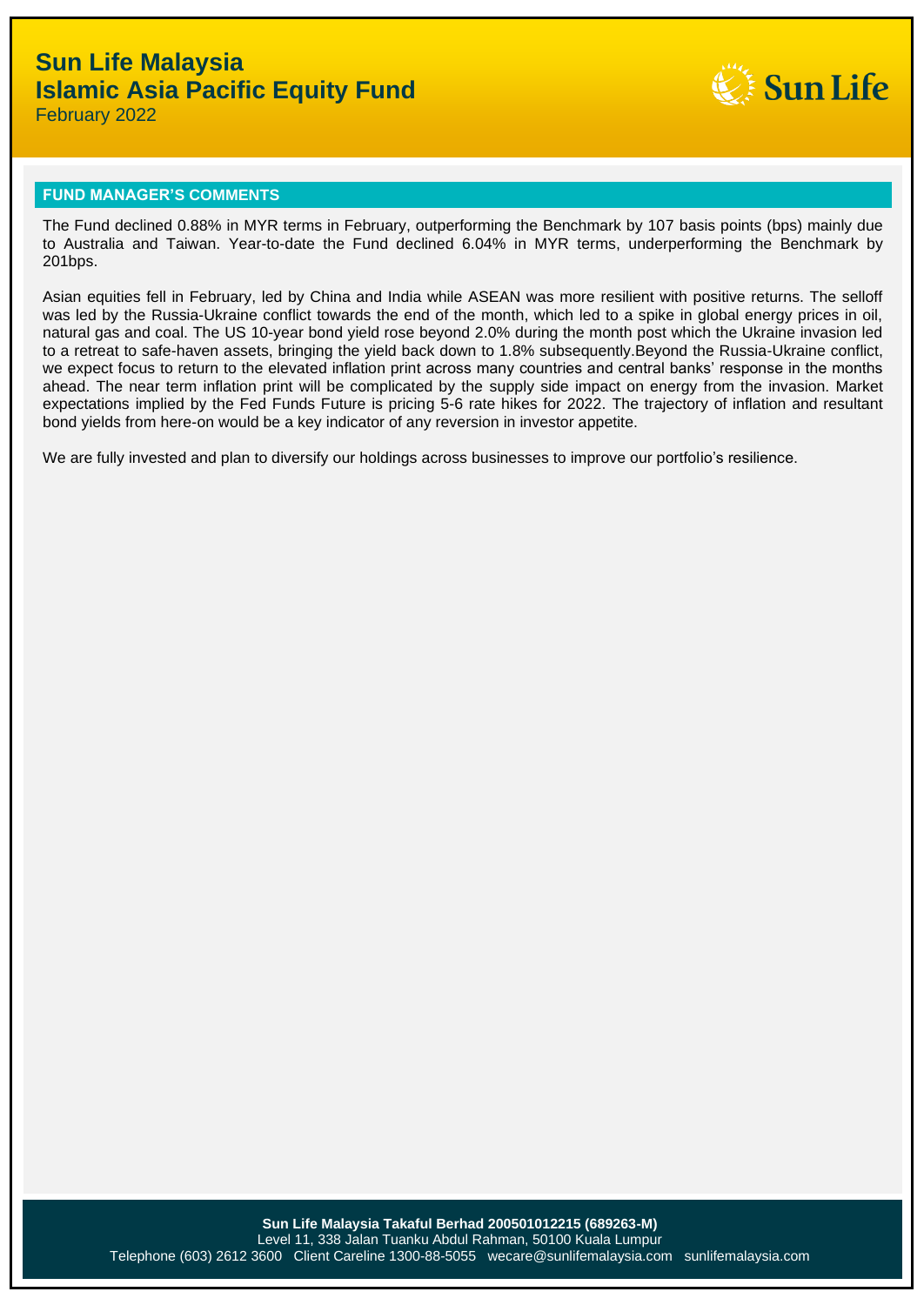

February 2022

#### **FUND MANAGER'S COMMENTS**

The Fund declined 0.88% in MYR terms in February, outperforming the Benchmark by 107 basis points (bps) mainly due to Australia and Taiwan. Year-to-date the Fund declined 6.04% in MYR terms, underperforming the Benchmark by 201bps.

Asian equities fell in February, led by China and India while ASEAN was more resilient with positive returns. The selloff was led by the Russia-Ukraine conflict towards the end of the month, which led to a spike in global energy prices in oil, natural gas and coal. The US 10-year bond yield rose beyond 2.0% during the month post which the Ukraine invasion led to a retreat to safe-haven assets, bringing the yield back down to 1.8% subsequently.Beyond the Russia-Ukraine conflict, we expect focus to return to the elevated inflation print across many countries and central banks' response in the months ahead. The near term inflation print will be complicated by the supply side impact on energy from the invasion. Market expectations implied by the Fed Funds Future is pricing 5-6 rate hikes for 2022. The trajectory of inflation and resultant bond yields from here-on would be a key indicator of any reversion in investor appetite.

We are fully invested and plan to diversify our holdings across businesses to improve our portfolio's resilience.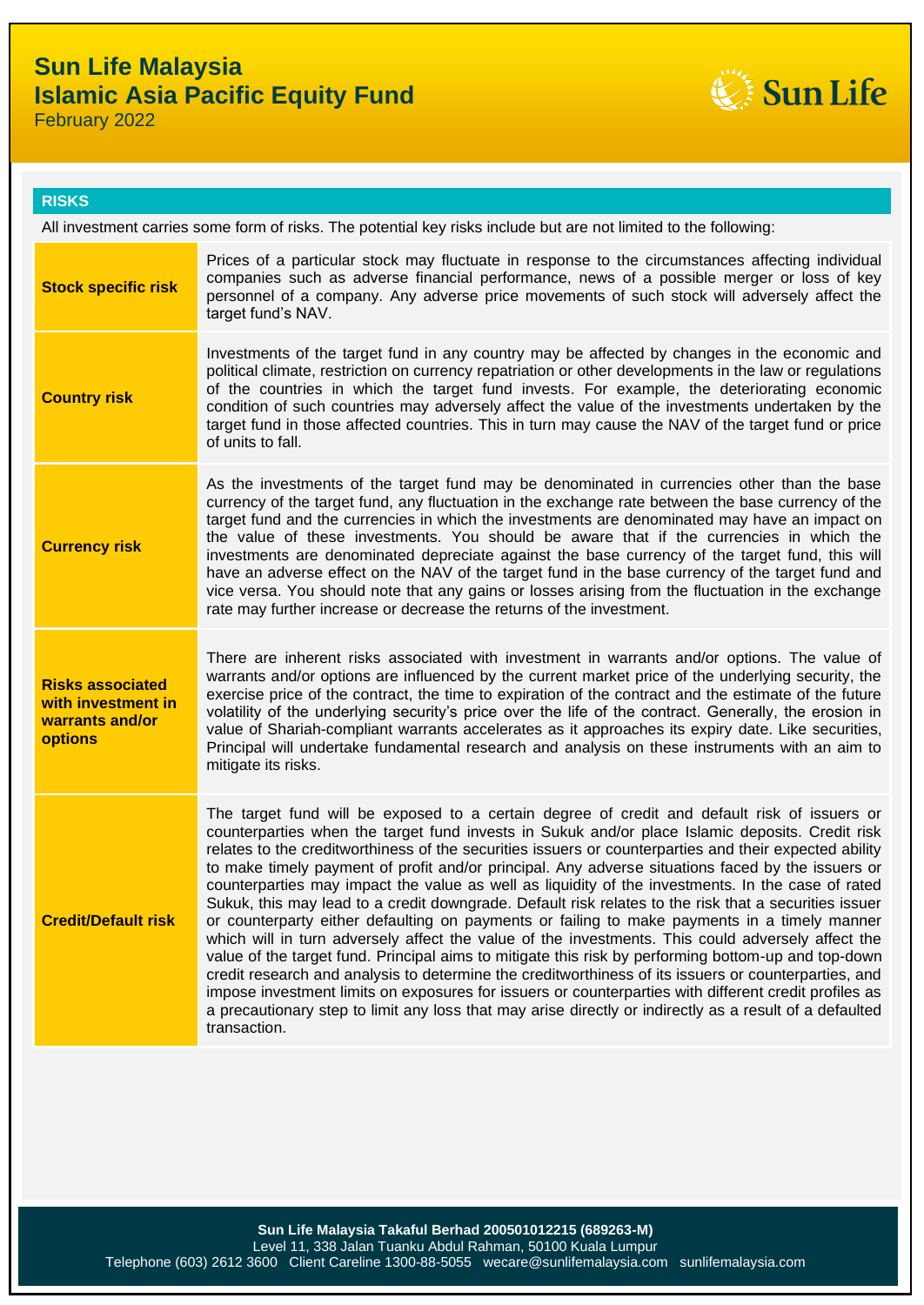

February 2022

#### **RISKS**

All investment carries some form of risks. The potential key risks include but are not limited to the following:

| <b>Stock specific risk</b>                                                         | Prices of a particular stock may fluctuate in response to the circumstances affecting individual<br>companies such as adverse financial performance, news of a possible merger or loss of key<br>personnel of a company. Any adverse price movements of such stock will adversely affect the<br>target fund's NAV.                                                                                                                                                                                                                                                                                                                                                                                                                                                                                                                                                                                                                                                                                                                                                                                                                                                                                                                                                                   |
|------------------------------------------------------------------------------------|--------------------------------------------------------------------------------------------------------------------------------------------------------------------------------------------------------------------------------------------------------------------------------------------------------------------------------------------------------------------------------------------------------------------------------------------------------------------------------------------------------------------------------------------------------------------------------------------------------------------------------------------------------------------------------------------------------------------------------------------------------------------------------------------------------------------------------------------------------------------------------------------------------------------------------------------------------------------------------------------------------------------------------------------------------------------------------------------------------------------------------------------------------------------------------------------------------------------------------------------------------------------------------------|
| <b>Country risk</b>                                                                | Investments of the target fund in any country may be affected by changes in the economic and<br>political climate, restriction on currency repatriation or other developments in the law or regulations<br>of the countries in which the target fund invests. For example, the deteriorating economic<br>condition of such countries may adversely affect the value of the investments undertaken by the<br>target fund in those affected countries. This in turn may cause the NAV of the target fund or price<br>of units to fall.                                                                                                                                                                                                                                                                                                                                                                                                                                                                                                                                                                                                                                                                                                                                                 |
| <b>Currency risk</b>                                                               | As the investments of the target fund may be denominated in currencies other than the base<br>currency of the target fund, any fluctuation in the exchange rate between the base currency of the<br>target fund and the currencies in which the investments are denominated may have an impact on<br>the value of these investments. You should be aware that if the currencies in which the<br>investments are denominated depreciate against the base currency of the target fund, this will<br>have an adverse effect on the NAV of the target fund in the base currency of the target fund and<br>vice versa. You should note that any gains or losses arising from the fluctuation in the exchange<br>rate may further increase or decrease the returns of the investment.                                                                                                                                                                                                                                                                                                                                                                                                                                                                                                      |
| <b>Risks associated</b><br>with investment in<br>warrants and/or<br><b>options</b> | There are inherent risks associated with investment in warrants and/or options. The value of<br>warrants and/or options are influenced by the current market price of the underlying security, the<br>exercise price of the contract, the time to expiration of the contract and the estimate of the future<br>volatility of the underlying security's price over the life of the contract. Generally, the erosion in<br>value of Shariah-compliant warrants accelerates as it approaches its expiry date. Like securities,<br>Principal will undertake fundamental research and analysis on these instruments with an aim to<br>mitigate its risks.                                                                                                                                                                                                                                                                                                                                                                                                                                                                                                                                                                                                                                 |
| <b>Credit/Default risk</b>                                                         | The target fund will be exposed to a certain degree of credit and default risk of issuers or<br>counterparties when the target fund invests in Sukuk and/or place Islamic deposits. Credit risk<br>relates to the creditworthiness of the securities issuers or counterparties and their expected ability<br>to make timely payment of profit and/or principal. Any adverse situations faced by the issuers or<br>counterparties may impact the value as well as liquidity of the investments. In the case of rated<br>Sukuk, this may lead to a credit downgrade. Default risk relates to the risk that a securities issuer<br>or counterparty either defaulting on payments or failing to make payments in a timely manner<br>which will in turn adversely affect the value of the investments. This could adversely affect the<br>value of the target fund. Principal aims to mitigate this risk by performing bottom-up and top-down<br>credit research and analysis to determine the creditworthiness of its issuers or counterparties, and<br>impose investment limits on exposures for issuers or counterparties with different credit profiles as<br>a precautionary step to limit any loss that may arise directly or indirectly as a result of a defaulted<br>transaction. |